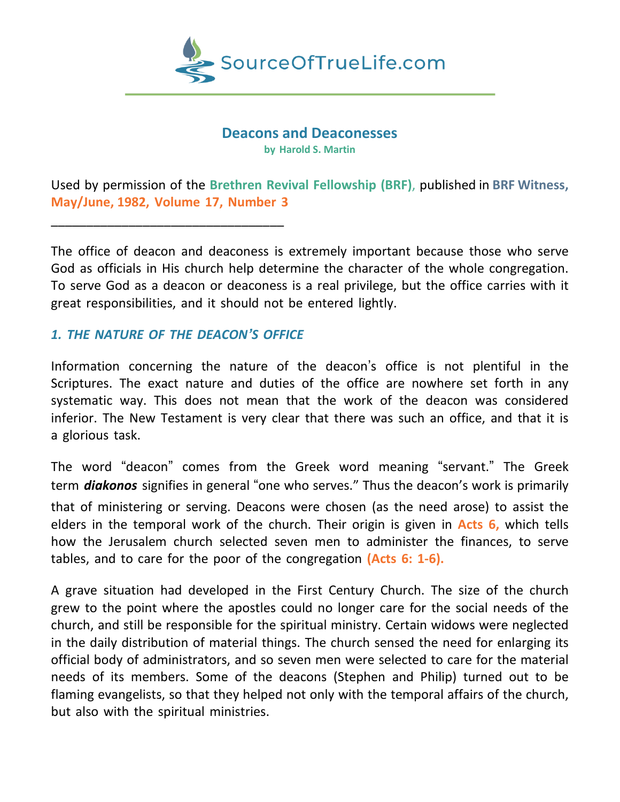

# **Deacons and Deaconesses**

**by Harold S. Martin**

Used by permission of the **Brethren Revival Fellowship (BRF)**, published in **BRF Witness, May/June, 1982, Volume 17, Number 3**

The office of deacon and deaconess is extremely important because those who serve God as officials in His church help determine the character of the whole congregation. To serve God as a deacon or deaconess is a real privilege, but the office carries with it great responsibilities, and it should not be entered lightly.

# *1. THE NATURE OF THE DEACON'S OFFICE*

\_\_\_\_\_\_\_\_\_\_\_\_\_\_\_\_\_\_\_\_\_\_\_\_\_\_\_\_\_\_\_\_\_

Information concerning the nature of the deacon's office is not plentiful in the Scriptures. The exact nature and duties of the office are nowhere set forth in any systematic way. This does not mean that the work of the deacon was considered inferior. The New Testament is very clear that there was such an office, and that it is a glorious task.

The word "deacon" comes from the Greek word meaning "servant." The Greek term *diakonos* signifies in general "one who serves." Thus the deacon's work is primarily that of ministering or serving. Deacons were chosen (as the need arose) to assist the elders in the temporal work of the church. Their origin is given in **Acts 6,** which tells how the Jerusalem church selected seven men to administer the finances, to serve tables, and to care for the poor of the congregation **(Acts 6: 1-6).**

A grave situation had developed in the First Century Church. The size of the church grew to the point where the apostles could no longer care for the social needs of the church, and still be responsible for the spiritual ministry. Certain widows were neglected in the daily distribution of material things. The church sensed the need for enlarging its official body of administrators, and so seven men were selected to care for the material needs of its members. Some of the deacons (Stephen and Philip) turned out to be flaming evangelists, so that they helped not only with the temporal affairs of the church, but also with the spiritual ministries.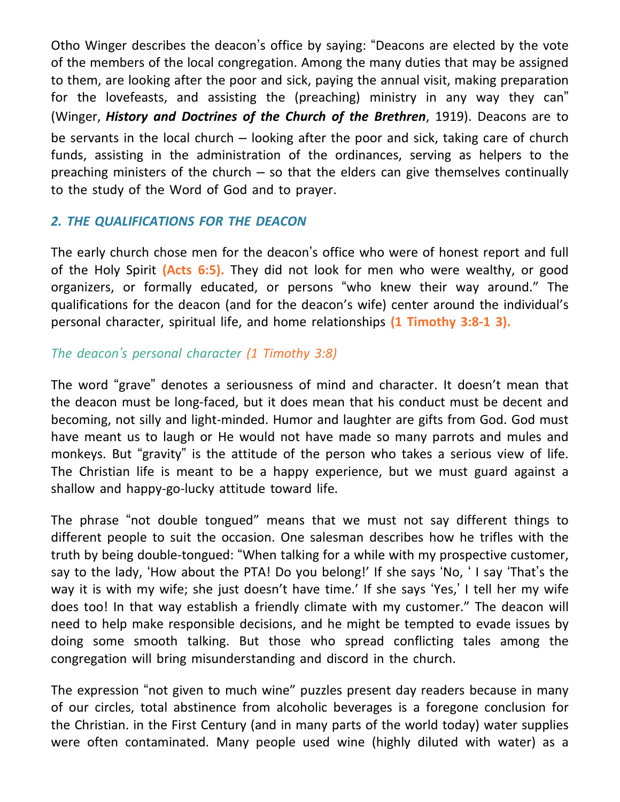Otho Winger describes the deacon's office by saying: "Deacons are elected by the vote of the members of the local congregation. Among the many duties that may be assigned to them, are looking after the poor and sick, paying the annual visit, making preparation for the lovefeasts, and assisting the (preaching) ministry in any way they can" (Winger, *History and Doctrines of the Church of the Brethren*, 1919). Deacons are to be servants in the local church – looking after the poor and sick, taking care of church funds, assisting in the administration of the ordinances, serving as helpers to the preaching ministers of the church  $-$  so that the elders can give themselves continually to the study of the Word of God and to prayer.

# *2. THE QUALIFICATIONS FOR THE DEACON*

The early church chose men for the deacon's office who were of honest report and full of the Holy Spirit **(Acts 6:5).** They did not look for men who were wealthy, or good organizers, or formally educated, or persons "who knew their way around." The qualifications for the deacon (and for the deacon's wife) center around the individual's personal character, spiritual life, and home relationships **(1 Timothy 3:8-1 3).**

# *The deacon's personal character (1 Timothy 3:8)*

The word "grave" denotes a seriousness of mind and character. It doesn't mean that the deacon must be long-faced, but it does mean that his conduct must be decent and becoming, not silly and light-minded. Humor and laughter are gifts from God. God must have meant us to laugh or He would not have made so many parrots and mules and monkeys. But "gravity" is the attitude of the person who takes a serious view of life. The Christian life is meant to be a happy experience, but we must guard against a shallow and happy-go-lucky attitude toward life.

The phrase "not double tongued" means that we must not say different things to different people to suit the occasion. One salesman describes how he trifles with the truth by being double-tongued: "When talking for a while with my prospective customer, say to the lady, 'How about the PTA! Do you belong!' If she says 'No, ' I say 'That's the way it is with my wife; she just doesn't have time.' If she says 'Yes,' I tell her my wife does too! In that way establish a friendly climate with my customer." The deacon will need to help make responsible decisions, and he might be tempted to evade issues by doing some smooth talking. But those who spread conflicting tales among the congregation will bring misunderstanding and discord in the church.

The expression "not given to much wine" puzzles present day readers because in many of our circles, total abstinence from alcoholic beverages is a foregone conclusion for the Christian. in the First Century (and in many parts of the world today) water supplies were often contaminated. Many people used wine (highly diluted with water) as a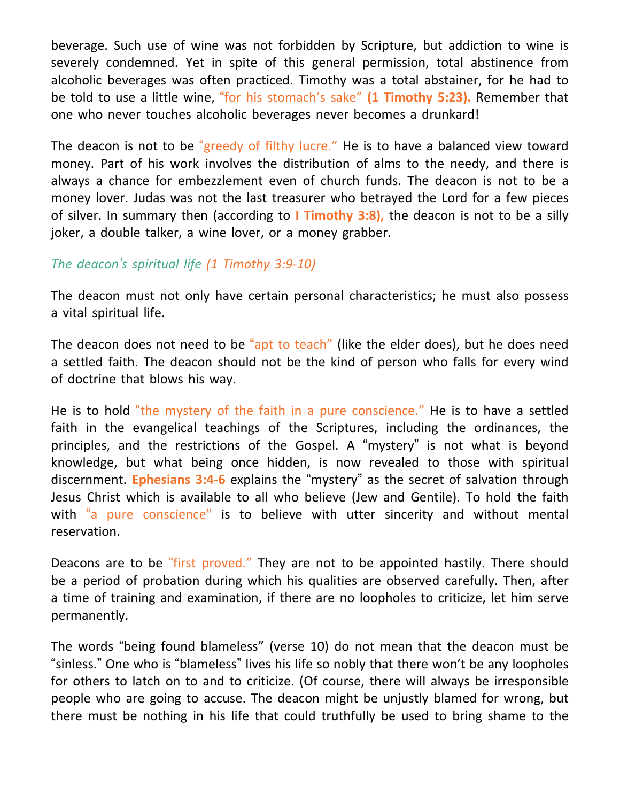beverage. Such use of wine was not forbidden by Scripture, but addiction to wine is severely condemned. Yet in spite of this general permission, total abstinence from alcoholic beverages was often practiced. Timothy was a total abstainer, for he had to be told to use a little wine, "for his stomach's sake" **(1 Timothy 5:23).** Remember that one who never touches alcoholic beverages never becomes a drunkard!

The deacon is not to be "greedy of filthy lucre." He is to have a balanced view toward money. Part of his work involves the distribution of alms to the needy, and there is always a chance for embezzlement even of church funds. The deacon is not to be a money lover. Judas was not the last treasurer who betrayed the Lord for a few pieces of silver. In summary then (according to **I Timothy 3:8),** the deacon is not to be a silly joker, a double talker, a wine lover, or a money grabber.

# *The deacon's spiritual life (1 Timothy 3:9-10)*

The deacon must not only have certain personal characteristics; he must also possess a vital spiritual life.

The deacon does not need to be "apt to teach" (like the elder does), but he does need a settled faith. The deacon should not be the kind of person who falls for every wind of doctrine that blows his way.

He is to hold "the mystery of the faith in a pure conscience." He is to have a settled faith in the evangelical teachings of the Scriptures, including the ordinances, the principles, and the restrictions of the Gospel. A "mystery" is not what is beyond knowledge, but what being once hidden, is now revealed to those with spiritual discernment. **Ephesians 3:4-6** explains the "mystery" as the secret of salvation through Jesus Christ which is available to all who believe (Jew and Gentile). To hold the faith with "a pure conscience" is to believe with utter sincerity and without mental reservation.

Deacons are to be "first proved." They are not to be appointed hastily. There should be a period of probation during which his qualities are observed carefully. Then, after a time of training and examination, if there are no loopholes to criticize, let him serve permanently.

The words "being found blameless" (verse 10) do not mean that the deacon must be "sinless." One who is "blameless" lives his life so nobly that there won't be any loopholes for others to latch on to and to criticize. (Of course, there will always be irresponsible people who are going to accuse. The deacon might be unjustly blamed for wrong, but there must be nothing in his life that could truthfully be used to bring shame to the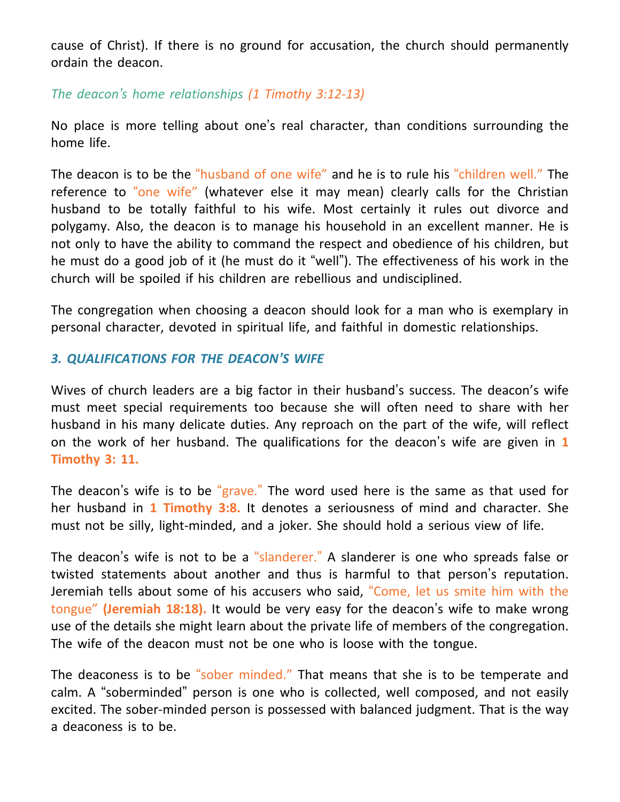cause of Christ). If there is no ground for accusation, the church should permanently ordain the deacon.

*The deacon's home relationships (1 Timothy 3:12-13)*

No place is more telling about one's real character, than conditions surrounding the home life.

The deacon is to be the "husband of one wife" and he is to rule his "children well." The reference to "one wife" (whatever else it may mean) clearly calls for the Christian husband to be totally faithful to his wife. Most certainly it rules out divorce and polygamy. Also, the deacon is to manage his household in an excellent manner. He is not only to have the ability to command the respect and obedience of his children, but he must do a good job of it (he must do it "well"). The effectiveness of his work in the church will be spoiled if his children are rebellious and undisciplined.

The congregation when choosing a deacon should look for a man who is exemplary in personal character, devoted in spiritual life, and faithful in domestic relationships.

# *3. QUALIFICATIONS FOR THE DEACON'S WIFE*

Wives of church leaders are a big factor in their husband's success. The deacon's wife must meet special requirements too because she will often need to share with her husband in his many delicate duties. Any reproach on the part of the wife, will reflect on the work of her husband. The qualifications for the deacon's wife are given in **1 Timothy 3: 11.**

The deacon's wife is to be "grave." The word used here is the same as that used for her husband in **1 Timothy 3:8.** It denotes a seriousness of mind and character. She must not be silly, light-minded, and a joker. She should hold a serious view of life.

The deacon's wife is not to be a "slanderer." A slanderer is one who spreads false or twisted statements about another and thus is harmful to that person's reputation. Jeremiah tells about some of his accusers who said, "Come, let us smite him with the tongue" **(Jeremiah 18:18).** It would be very easy for the deacon's wife to make wrong use of the details she might learn about the private life of members of the congregation. The wife of the deacon must not be one who is loose with the tongue.

The deaconess is to be "sober minded." That means that she is to be temperate and calm. A "soberminded" person is one who is collected, well composed, and not easily excited. The sober-minded person is possessed with balanced judgment. That is the way a deaconess is to be.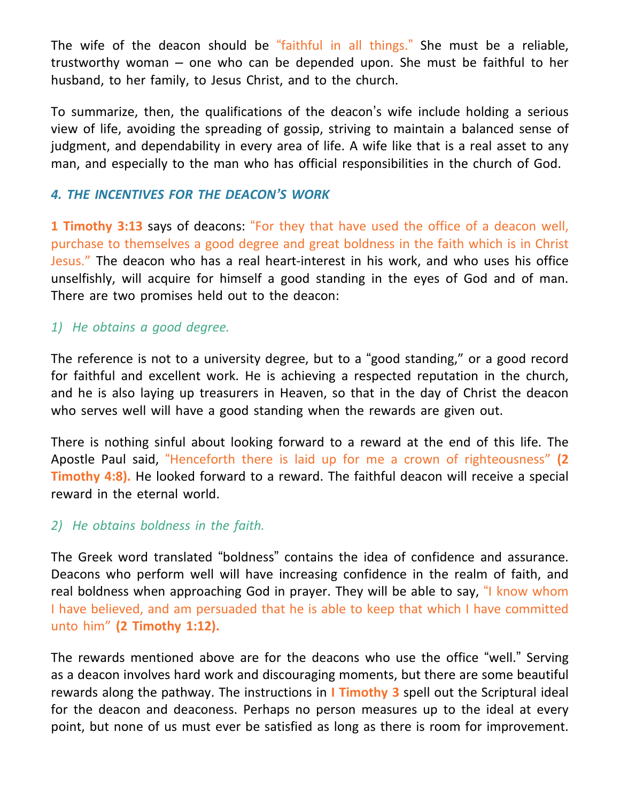The wife of the deacon should be "faithful in all things." She must be a reliable, trustworthy woman – one who can be depended upon. She must be faithful to her husband, to her family, to Jesus Christ, and to the church.

To summarize, then, the qualifications of the deacon's wife include holding a serious view of life, avoiding the spreading of gossip, striving to maintain a balanced sense of judgment, and dependability in every area of life. A wife like that is a real asset to any man, and especially to the man who has official responsibilities in the church of God.

#### *4. THE INCENTIVES FOR THE DEACON'S WORK*

**1 Timothy 3:13** says of deacons: "For they that have used the office of a deacon well, purchase to themselves a good degree and great boldness in the faith which is in Christ Jesus." The deacon who has a real heart-interest in his work, and who uses his office unselfishly, will acquire for himself a good standing in the eyes of God and of man. There are two promises held out to the deacon:

#### *1) He obtains a good degree.*

The reference is not to a university degree, but to a "good standing," or a good record for faithful and excellent work. He is achieving a respected reputation in the church, and he is also laying up treasurers in Heaven, so that in the day of Christ the deacon who serves well will have a good standing when the rewards are given out.

There is nothing sinful about looking forward to a reward at the end of this life. The Apostle Paul said, "Henceforth there is laid up for me a crown of righteousness" **(2 Timothy 4:8).** He looked forward to a reward. The faithful deacon will receive a special reward in the eternal world.

#### *2) He obtains boldness in the faith.*

The Greek word translated "boldness" contains the idea of confidence and assurance. Deacons who perform well will have increasing confidence in the realm of faith, and real boldness when approaching God in prayer. They will be able to say, "I know whom I have believed, and am persuaded that he is able to keep that which I have committed unto him" **(2 Timothy 1:12).**

The rewards mentioned above are for the deacons who use the office "well." Serving as a deacon involves hard work and discouraging moments, but there are some beautiful rewards along the pathway. The instructions in **I Timothy 3** spell out the Scriptural ideal for the deacon and deaconess. Perhaps no person measures up to the ideal at every point, but none of us must ever be satisfied as long as there is room for improvement.